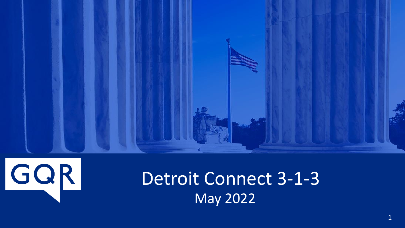



# Detroit Connect 3-1-3 May 2022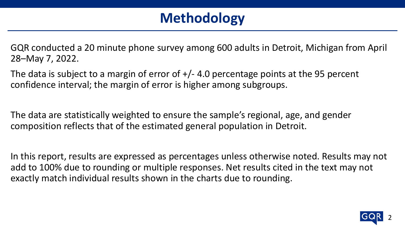## **Methodology**

GQR conducted a 20 minute phone survey among 600 adults in Detroit, Michigan from April 28–May 7, 2022.

The data is subject to a margin of error of  $+/- 4.0$  percentage points at the 95 percent confidence interval; the margin of error is higher among subgroups.

The data are statistically weighted to ensure the sample's regional, age, and gender composition reflects that of the estimated general population in Detroit.

In this report, results are expressed as percentages unless otherwise noted. Results may not add to 100% due to rounding or multiple responses. Net results cited in the text may not exactly match individual results shown in the charts due to rounding.

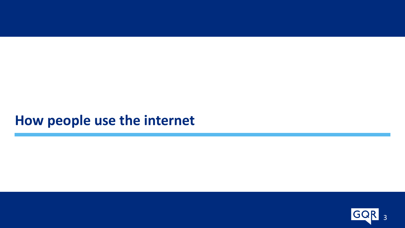### **How people use the internet**

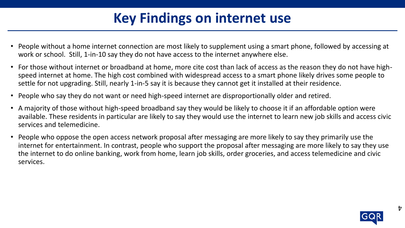## **Key Findings on internet use**

- People without a home internet connection are most likely to supplement using a smart phone, followed by accessing at work or school. Still, 1-in-10 say they do not have access to the internet anywhere else.
- For those without internet or broadband at home, more cite cost than lack of access as the reason they do not have highspeed internet at home. The high cost combined with widespread access to a smart phone likely drives some people to settle for not upgrading. Still, nearly 1-in-5 say it is because they cannot get it installed at their residence.
- People who say they do not want or need high-speed internet are disproportionally older and retired.
- A majority of those without high-speed broadband say they would be likely to choose it if an affordable option were available. These residents in particular are likely to say they would use the internet to learn new job skills and access civic services and telemedicine.
- People who oppose the open access network proposal after messaging are more likely to say they primarily use the internet for entertainment. In contrast, people who support the proposal after messaging are more likely to say they use the internet to do online banking, work from home, learn job skills, order groceries, and access telemedicine and civic services.



 $\mathbf{r}$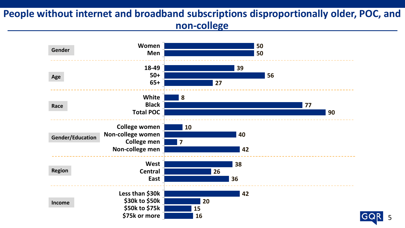### **People without internet and broadband subscriptions disproportionally older, POC, and non-college**



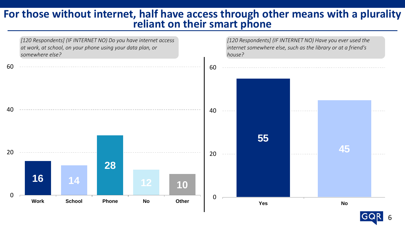#### **For those without internet, half have access through other means with a plurality reliant on their smart phone**



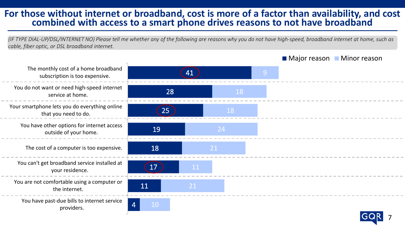#### **For those without internet or broadband, cost is more of a factor than availability, and cost combined with access to a smart phone drives reasons to not have broadband**

*(IF TYPE DIAL-UP/DSL/INTERNET NO) Please tell me whether any of the following are reasons why you do not have high-speed, broadband internet at home, such as cable, fiber optic, or DSL broadband internet.*



#### ■ Major reason ■ Minor reason



providers.

the internet.

your residence.

outside of your home.

that you need to do.

service at home.

subscription is too expensive.

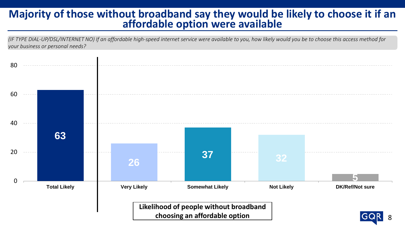### **Majority of those without broadband say they would be likely to choose it if an affordable option were available**

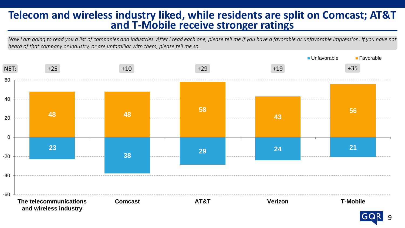### **Telecom and wireless industry liked, while residents are split on Comcast; AT&T and T-Mobile receive stronger ratings**

*Now I am going to read you a list of companies and industries. After I read each one, please tell me if you have a favorable or unfavorable impression. If you have not heard of that company or industry, or are unfamiliar with them, please tell me so.*



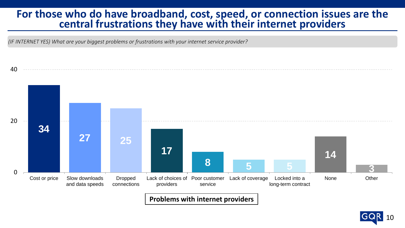#### For those who do have broadband, cost, speed, or connection issues are the **central frustrations they have with their internet providers**

*(IF INTERNET YES) What are your biggest problems or frustrations with your internet service provider?*



**Problems with internet providers**

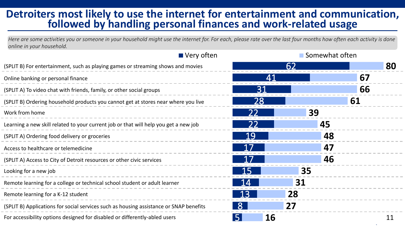### **Detroiters most likely to use the internet for entertainment and communication, followed by handling personal finances and work-related usage**

*Here are some activities you or someone in your household might use the internet for. For each, please rate over the last four months how often each activity is done online in your household.*

|                                                                                        | $\blacksquare$ Very often | Somewhat often |    |
|----------------------------------------------------------------------------------------|---------------------------|----------------|----|
| (SPLIT B) For entertainment, such as playing games or streaming shows and movies       |                           | 62             | 80 |
| Online banking or personal finance                                                     | Δ1                        |                | 67 |
| (SPLIT A) To video chat with friends, family, or other social groups                   | 31                        |                | 66 |
| (SPLIT B) Ordering household products you cannot get at stores near where you live     | 28                        |                | 61 |
| Work from home                                                                         | 22                        | 39             |    |
| Learning a new skill related to your current job or that will help you get a new job   |                           | 45             |    |
| (SPLIT A) Ordering food delivery or groceries                                          | 19                        | 48             |    |
| Access to healthcare or telemedicine                                                   |                           | 47             |    |
| (SPLIT A) Access to City of Detroit resources or other civic services                  |                           | 46             |    |
| Looking for a new job                                                                  | 15                        | 35             |    |
| Remote learning for a college or technical school student or adult learner             |                           | 31             |    |
| Remote learning for a K-12 student                                                     | 13                        | 28             |    |
| (SPLIT B) Applications for social services such as housing assistance or SNAP benefits |                           | 27             |    |
| For accessibility options designed for disabled or differently-abled users             | 16<br>5                   |                | 11 |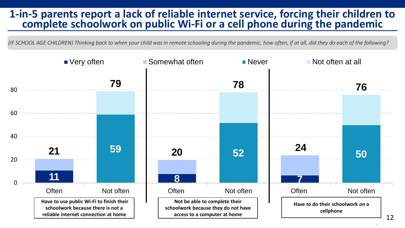#### **1-in-5 parents report a lack of reliable internet service, forcing their children to complete schoolwork on public Wi-Fi or a cell phone during the pandemic**

*(IF SCHOOL AGE CHILDREN) Thinking back to when your child was in remote schooling during the pandemic, how often, if at all, did they do each of the following?*

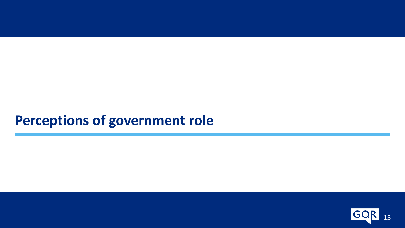### **Perceptions of government role**

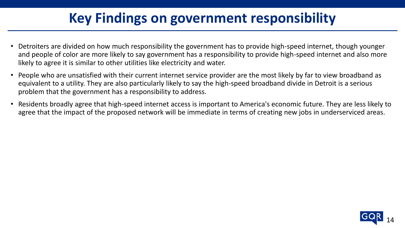## **Key Findings on government responsibility**

- Detroiters are divided on how much responsibility the government has to provide high-speed internet, though younger and people of color are more likely to say government has a responsibility to provide high-speed internet and also more likely to agree it is similar to other utilities like electricity and water.
- People who are unsatisfied with their current internet service provider are the most likely by far to view broadband as equivalent to a utility. They are also particularly likely to say the high-speed broadband divide in Detroit is a serious problem that the government has a responsibility to address.
- Residents broadly agree that high-speed internet access is important to America's economic future. They are less likely to agree that the impact of the proposed network will be immediate in terms of creating new jobs in underserviced areas.

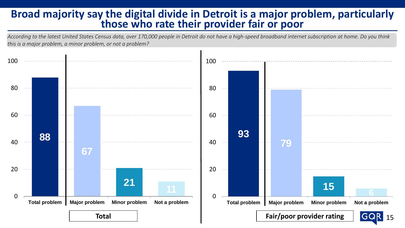#### **Broad majority say the digital divide in Detroit is a major problem, particularly those who rate their provider fair or poor**

*According to the latest United States Census data, over 170,000 people in Detroit do not have a high-speed broadband internet subscription at home. Do you think this is a major problem, a minor problem, or not a problem?*

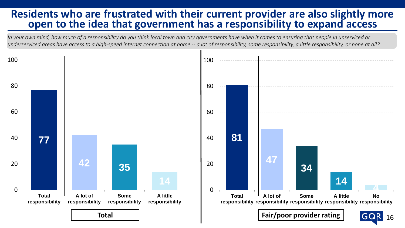### **Residents who are frustrated with their current provider are also slightly more open to the idea that government has a responsibility to expand access**

*In your own mind, how much of a responsibility do you think local town and city governments have when it comes to ensuring that people in unserviced or underserviced areas have access to a high-speed internet connection at home -- a lot of responsibility, some responsibility, a little responsibility, or none at all?*

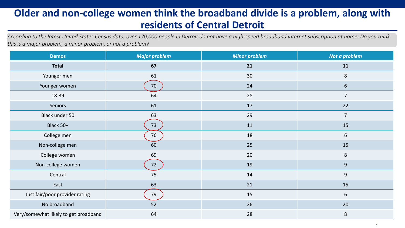### **Older and non-college women think the broadband divide is a problem, along with residents of Central Detroit**

*According to the latest United States Census data, over 170,000 people in Detroit do not have a high-speed broadband internet subscription at home. Do you think this is a major problem, a minor problem, or not a problem?*

| <b>Demos</b>                          | <b>Major problem</b> | <b>Minor problem</b> | Not a problem  |
|---------------------------------------|----------------------|----------------------|----------------|
| <b>Total</b>                          | 67                   | 21                   | 11             |
| Younger men                           | 61                   | 30                   | 8              |
| Younger women                         | 70                   | 24                   | $6\,$          |
| 18-39                                 | 64                   | 28                   | $\overline{7}$ |
| Seniors                               | 61                   | 17                   | 22             |
| Black under 50                        | 63                   | 29                   | $\overline{7}$ |
| Black 50+                             | 73                   | 11                   | 15             |
| College men                           | 76                   | 18                   | $6\,$          |
| Non-college men                       | 60                   | 25                   | 15             |
| College women                         | 69                   | 20                   | $\bf 8$        |
| Non-college women                     | 72                   | 19                   | 9              |
| Central                               | 75                   | 14                   | $\overline{9}$ |
| East                                  | 63                   | 21                   | 15             |
| Just fair/poor provider rating        | 79                   | 15                   | 6              |
| No broadband                          | 52                   | 26                   | 20             |
| Very/somewhat likely to get broadband | 64                   | 28                   | $\,8\,$        |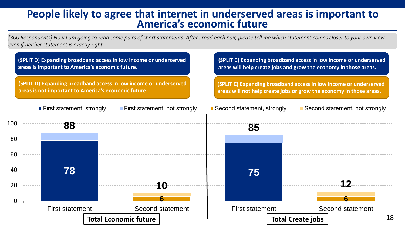#### **People likely to agree that internet in underserved areas is important to America's economic future**

*[300 Respondents] Now I am going to read some pairs of short statements. After I read each pair, please tell me which statement comes closer to your own view even if neither statement is exactly right.*

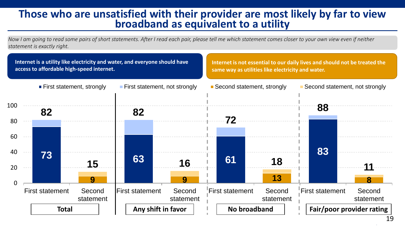### **Those who are unsatisfied with their provider are most likely by far to view broadband as equivalent to a utility**

*Now I am going to read some pairs of short statements. After I read each pair, please tell me which statement comes closer to your own view even if neither statement is exactly right.*

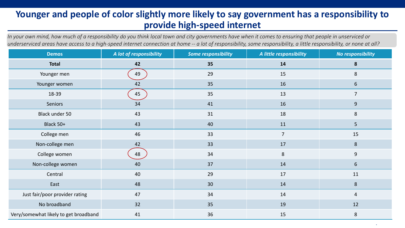#### **Younger and people of color slightly more likely to say government has a responsibility to provide high-speed internet**

*In your own mind, how much of a responsibility do you think local town and city governments have when it comes to ensuring that people in unserviced or underserviced areas have access to a high-speed internet connection at home -- a lot of responsibility, some responsibility, a little responsibility, or none at all?*

| <b>Demos</b>                          | A lot of responsibility | <b>Some responsibility</b> | A little responsibility | No responsibility |
|---------------------------------------|-------------------------|----------------------------|-------------------------|-------------------|
| <b>Total</b>                          | 42                      | 35                         | 14                      | ${\bf 8}$         |
| Younger men                           | 49                      | 29                         | 15                      | 8                 |
| Younger women                         | 42                      | 35                         | 16                      | 6                 |
| 18-39                                 | 45                      | 35                         | 13                      | $\overline{7}$    |
| Seniors                               | 34                      | 41                         | 16                      | 9                 |
| Black under 50                        | 43                      | 31                         | 18                      | 8                 |
| Black 50+                             | 43                      | 40                         | 11                      | 5                 |
| College men                           | 46                      | 33                         | $\overline{7}$          | 15                |
| Non-college men                       | 42                      | 33                         | 17                      | 8                 |
| College women                         | 48                      | 34                         | 8                       | 9                 |
| Non-college women                     | 40                      | 37                         | 14                      | $6\overline{6}$   |
| Central                               | 40                      | 29                         | 17                      | 11                |
| East                                  | 48                      | 30                         | 14                      | $\bf 8$           |
| Just fair/poor provider rating        | 47                      | 34                         | 14                      | $\overline{4}$    |
| No broadband                          | 32                      | 35                         | 19                      | 12                |
| Very/somewhat likely to get broadband | 41                      | 36                         | 15                      | 8                 |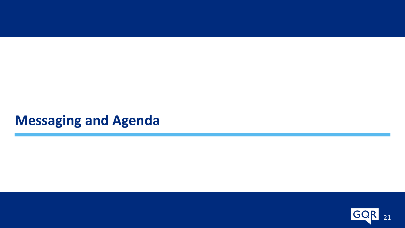### **Messaging and Agenda**

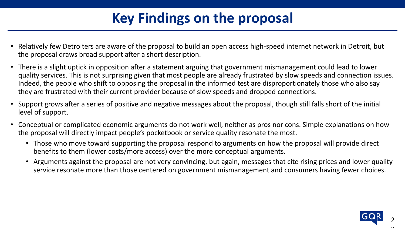# **Key Findings on the proposal**

- Relatively few Detroiters are aware of the proposal to build an open access high-speed internet network in Detroit, but the proposal draws broad support after a short description.
- There is a slight uptick in opposition after a statement arguing that government mismanagement could lead to lower quality services. This is not surprising given that most people are already frustrated by slow speeds and connection issues. Indeed, the people who shift to opposing the proposal in the informed test are disproportionately those who also say they are frustrated with their current provider because of slow speeds and dropped connections.
- Support grows after a series of positive and negative messages about the proposal, though still falls short of the initial level of support.
- Conceptual or complicated economic arguments do not work well, neither as pros nor cons. Simple explanations on how the proposal will directly impact people's pocketbook or service quality resonate the most.
	- Those who move toward supporting the proposal respond to arguments on how the proposal will provide direct benefits to them (lower costs/more access) over the more conceptual arguments.
	- Arguments against the proposal are not very convincing, but again, messages that cite rising prices and lower quality service resonate more than those centered on government mismanagement and consumers having fewer choices.

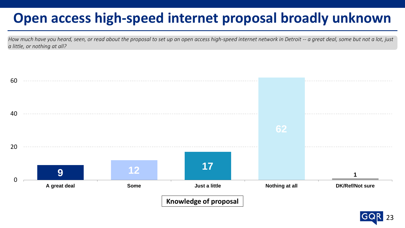## **Open access high-speed internet proposal broadly unknown**

*How much have you heard, seen, or read about the proposal to set up an open access high-speed internet network in Detroit -- a great deal, some but not a lot, just a little, or nothing at all?*



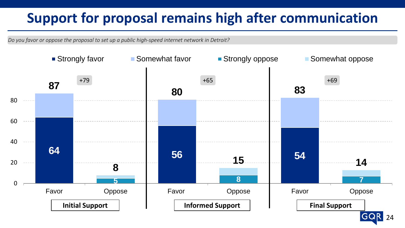## **Support for proposal remains high after communication**

*Do you favor or oppose the proposal to set up a public high-speed internet network in Detroit?*

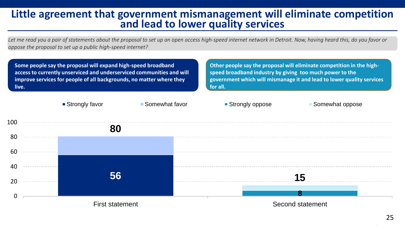#### **Little agreement that government mismanagement will eliminate competition and lead to lower quality services**

*Let me read you a pair of statements about the proposal to set up an open access high-speed internet network in Detroit. Now, having heard this, do you favor or oppose the proposal to set up a public high-speed internet?*

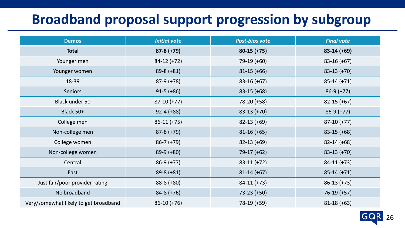### **Broadband proposal support progression by subgroup**

| <b>Demos</b>                          | <b>Initial vote</b> | <b>Post-bios vote</b> | <b>Final vote</b> |
|---------------------------------------|---------------------|-----------------------|-------------------|
| <b>Total</b>                          | $87-8 (+79)$        | $80-15 (+75)$         | $83-14 (+69)$     |
| Younger men                           | $84-12 (+72)$       | $79-19 (+60)$         | $83-16 (+67)$     |
| Younger women                         | $89-8 (+81)$        | $81-15 (+66)$         | $83-13 (+70)$     |
| 18-39                                 | $87-9 (+78)$        | $83-16 (+67)$         | $85-14 (+71)$     |
| <b>Seniors</b>                        | $91-5 (+86)$        | $83-15 (+68)$         | $86-9 (+77)$      |
| <b>Black under 50</b>                 | $87-10 (+77)$       | 78-20 (+58)           | $82-15 (+67)$     |
| Black 50+                             | $92 - 4 (+88)$      | $83-13 (+70)$         | $86-9 (+77)$      |
| College men                           | $86-11 (+75)$       | $82-13 (+69)$         | $87-10 (+77)$     |
| Non-college men                       | $87-8 (+79)$        | $81-16 (+65)$         | $83-15 (+68)$     |
| College women                         | $86-7 (+79)$        | $82-13 (+69)$         | $82-14 (+68)$     |
| Non-college women                     | $89-9 (+80)$        | $79-17 (+62)$         | $83-13 (+70)$     |
| Central                               | $86-9 (+77)$        | $83-11 (+72)$         | $84-11 (+73)$     |
| East                                  | $89-8 (+81)$        | $81-14 (+67)$         | $85-14 (+71)$     |
| Just fair/poor provider rating        | $88-8 (+80)$        | $84-11 (+73)$         | $86-13 (+73)$     |
| No broadband                          | $84-8 (+76)$        | $73-23 (+50)$         | $76-19 (+57)$     |
| Very/somewhat likely to get broadband | $86-10 (+76)$       | 78-19 (+59)           | $81-18 (+63)$     |

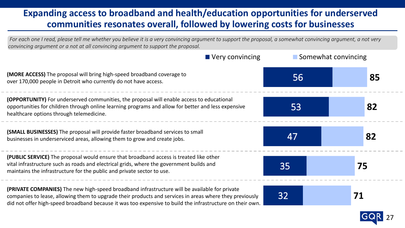#### **Expanding access to broadband and health/education opportunities for underserved communities resonates overall, followed by lowering costs for businesses**

32 35 47 53 56 **71 75 82 82 85**  $\blacksquare$  Very convincing  $\blacksquare$  Somewhat convincing *For each one I read, please tell me whether you believe it is a very convincing argument to support the proposal, a somewhat convincing argument, a not very convincing argument or a not at all convincing argument to support the proposal.* **(MORE ACCESS)** The proposal will bring high-speed broadband coverage to over 170,000 people in Detroit who currently do not have access. **(OPPORTUNITY)** For underserved communities, the proposal will enable access to educational opportunities for children through online learning programs and allow for better and less expensive healthcare options through telemedicine. **(SMALL BUSINESSES)** The proposal will provide faster broadband services to small businesses in underserviced areas, allowing them to grow and create jobs. **(PRIVATE COMPANIES)** The new high-speed broadband infrastructure will be available for private companies to lease, allowing them to upgrade their products and services in areas where they previously did not offer high-speed broadband because it was too expensive to build the infrastructure on their own. **(PUBLIC SERVICE)** The proposal would ensure that broadband access is treated like other vital infrastructure such as roads and electrical grids, where the government builds and maintains the infrastructure for the public and private sector to use.

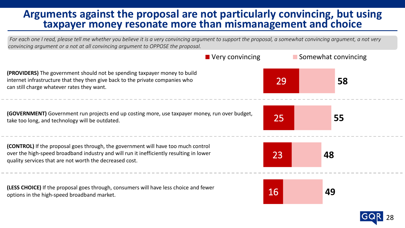#### **Arguments against the proposal are not particularly convincing, but using taxpayer money resonate more than mismanagement and choice**

*For each one I read, please tell me whether you believe it is a very convincing argument to support the proposal, a somewhat convincing argument, a not very convincing argument or a not at all convincing argument to OPPOSE the proposal.*



28

**(PROVIDERS)** The government should not be spending taxpayer money to build internet infrastructure that they then give back to the private companies who can still charge whatever rates they want.

**(GOVERNMENT)** Government run projects end up costing more, use taxpayer money, run over budget, take too long, and technology will be outdated.

**(CONTROL)** If the proposal goes through, the government will have too much control over the high-speed broadband industry and will run it inefficiently resulting in lower quality services that are not worth the decreased cost.

**(LESS CHOICE)** If the proposal goes through, consumers will have less choice and fewer options in the high-speed broadband market.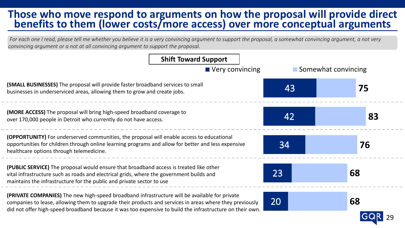### **Those who move respond to arguments on how the proposal will provide direct benefits to them (lower costs/more access) over more conceptual arguments**

*For each one I read, please tell me whether you believe it is a very convincing argument to support the proposal, a somewhat convincing argument, a not very convincing argument or a not at all convincing argument to support the proposal.*

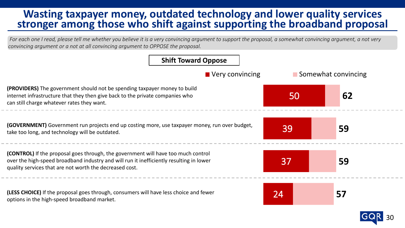### **Wasting taxpayer money, outdated technology and lower quality services stronger among those who shift against supporting the broadband proposal**

*For each one I read, please tell me whether you believe it is a very convincing argument to support the proposal, a somewhat convincing argument, a not very convincing argument or a not at all convincing argument to OPPOSE the proposal.*



30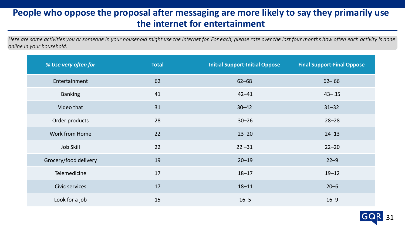#### **People who oppose the proposal after messaging are more likely to say they primarily use the internet for entertainment**

*Here are some activities you or someone in your household might use the internet for. For each, please rate over the last four months how often each activity is done online in your household.*

| % Use very often for  | <b>Total</b> | <b>Initial Support-Initial Oppose</b> | <b>Final Support-Final Oppose</b> |
|-----------------------|--------------|---------------------------------------|-----------------------------------|
| Entertainment         | 62           | $62 - 68$                             | $62 - 66$                         |
| <b>Banking</b>        | 41           | $42 - 41$                             | $43 - 35$                         |
| Video that            | 31           | $30 - 42$                             | $31 - 32$                         |
| Order products        | 28           | $30 - 26$                             | $28 - 28$                         |
| Work from Home        | 22           | $23 - 20$                             | $24 - 13$                         |
| Job Skill             | 22           | $22 - 31$                             | $22 - 20$                         |
| Grocery/food delivery | 19           | $20 - 19$                             | $22 - 9$                          |
| Telemedicine          | 17           | $18 - 17$                             | $19 - 12$                         |
| Civic services        | 17           | $18 - 11$                             | $20 - 6$                          |
| Look for a job        | 15           | $16 - 5$                              | $16 - 9$                          |

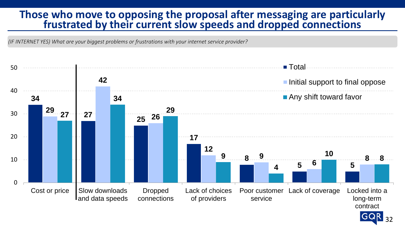#### **Those who move to opposing the proposal after messaging are particularly frustrated by their current slow speeds and dropped connections**

*(IF INTERNET YES) What are your biggest problems or frustrations with your internet service provider?*



32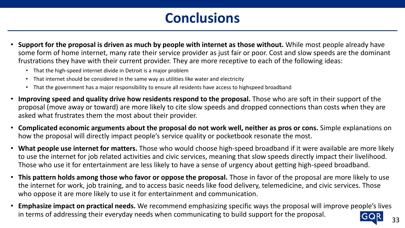### **Conclusions**

- **Support for the proposal is driven as much by people with internet as those without.** While most people already have some form of home internet, many rate their service provider as just fair or poor. Cost and slow speeds are the dominant frustrations they have with their current provider. They are more receptive to each of the following ideas:
	- That the high-speed internet divide in Detroit is a major problem
	- That internet should be considered in the same way as utilities like water and electricity
	- That the government has a major responsibility to ensure all residents have access to highspeed broadband
- **Improving speed and quality drive how residents respond to the proposal.** Those who are soft in their support of the proposal (move away or toward) are more likely to cite slow speeds and dropped connections than costs when they are asked what frustrates them the most about their provider.
- **Complicated economic arguments about the proposal do not work well, neither as pros or cons.** Simple explanations on how the proposal will directly impact people's service quality or pocketbook resonate the most.
- **What people use internet for matters.** Those who would choose high-speed broadband if it were available are more likely to use the internet for job related activities and civic services, meaning that slow speeds directly impact their livelihood. Those who use it for entertainment are less likely to have a sense of urgency about getting high-speed broadband.
- **This pattern holds among those who favor or oppose the proposal.** Those in favor of the proposal are more likely to use the internet for work, job training, and to access basic needs like food delivery, telemedicine, and civic services. Those who oppose it are more likely to use it for entertainment and communication.
- **Emphasize impact on practical needs.** We recommend emphasizing specific ways the proposal will improve people's lives in terms of addressing their everyday needs when communicating to build support for the proposal.